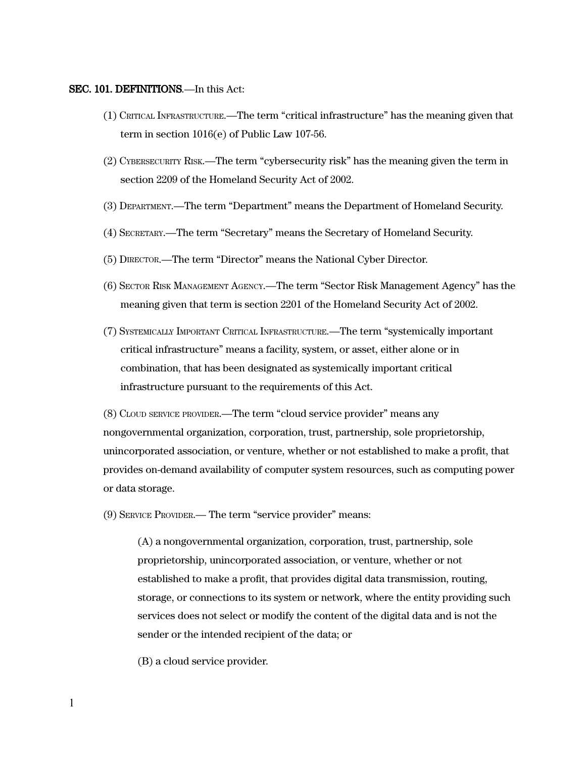#### SEC. 101. DEFINITIONS.—In this Act:

- (1) CRITICAL INFRASTRUCTURE.—The term "critical infrastructure" has the meaning given that term in section 1016(e) of Public Law 107-56.
- (2) CYBERSECURITY RISK.—The term "cybersecurity risk" has the meaning given the term in section 2209 of the Homeland Security Act of 2002.
- (3) DEPARTMENT.—The term "Department" means the Department of Homeland Security.
- (4) SECRETARY.—The term "Secretary" means the Secretary of Homeland Security.
- (5) DIRECTOR.—The term "Director" means the National Cyber Director.
- (6) SECTOR RISK MANAGEMENT AGENCY.—The term "Sector Risk Management Agency" has the meaning given that term is section 2201 of the Homeland Security Act of 2002.
- (7) SYSTEMICALLY IMPORTANT CRITICAL INFRASTRUCTURE.—The term "systemically important critical infrastructure" means a facility, system, or asset, either alone or in combination, that has been designated as systemically important critical infrastructure pursuant to the requirements of this Act.

(8) CLOUD SERVICE PROVIDER.—The term "cloud service provider" means any nongovernmental organization, corporation, trust, partnership, sole proprietorship, unincorporated association, or venture, whether or not established to make a profit, that provides on-demand availability of computer system resources, such as computing power or data storage.

(9) SERVICE PROVIDER.— The term "service provider" means:

(A) a nongovernmental organization, corporation, trust, partnership, sole proprietorship, unincorporated association, or venture, whether or not established to make a profit, that provides digital data transmission, routing, storage, or connections to its system or network, where the entity providing such services does not select or modify the content of the digital data and is not the sender or the intended recipient of the data; or

(B) a cloud service provider.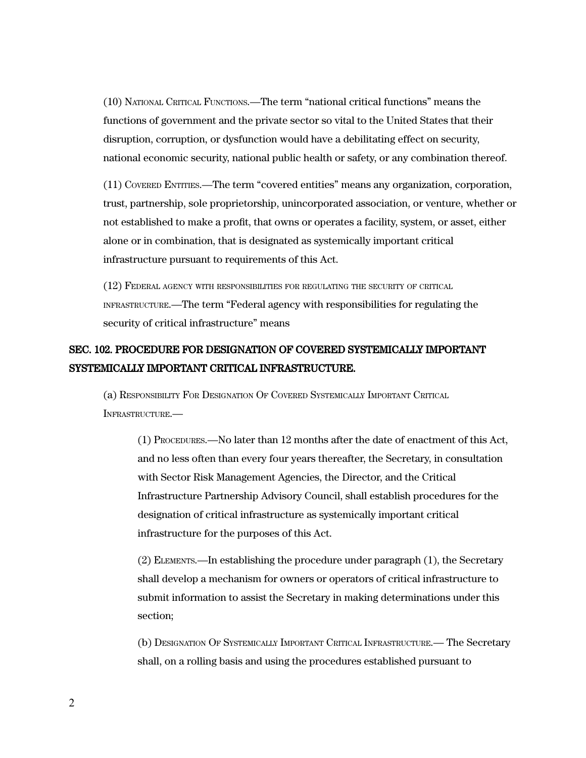(10) NATIONAL CRITICAL FUNCTIONS.—The term "national critical functions" means the functions of government and the private sector so vital to the United States that their disruption, corruption, or dysfunction would have a debilitating effect on security, national economic security, national public health or safety, or any combination thereof.

(11) COVERED ENTITIES.—The term "covered entities" means any organization, corporation, trust, partnership, sole proprietorship, unincorporated association, or venture, whether or not established to make a profit, that owns or operates a facility, system, or asset, either alone or in combination, that is designated as systemically important critical infrastructure pursuant to requirements of this Act.

(12) FEDERAL AGENCY WITH RESPONSIBILITIES FOR REGULATING THE SECURITY OF CRITICAL INFRASTRUCTURE.—The term "Federal agency with responsibilities for regulating the security of critical infrastructure" means

# SEC. 102. PROCEDURE FOR DESIGNATION OF COVERED SYSTEMICALLY IMPORTANT SYSTEMICALLY IMPORTANT CRITICAL INFRASTRUCTURE.

(a) RESPONSIBILITY FOR DESIGNATION OF COVERED SYSTEMICALLY IMPORTANT CRITICAL INFRASTRUCTURE.—

(1) PROCEDURES.—No later than 12 months after the date of enactment of this Act, and no less often than every four years thereafter, the Secretary, in consultation with Sector Risk Management Agencies, the Director, and the Critical Infrastructure Partnership Advisory Council, shall establish procedures for the designation of critical infrastructure as systemically important critical infrastructure for the purposes of this Act.

(2) ELEMENTS.—In establishing the procedure under paragraph (1), the Secretary shall develop a mechanism for owners or operators of critical infrastructure to submit information to assist the Secretary in making determinations under this section;

(b) DESIGNATION O<sup>F</sup> SYSTEMICALLY IMPORTANT CRITICAL INFRASTRUCTURE.— The Secretary shall, on a rolling basis and using the procedures established pursuant to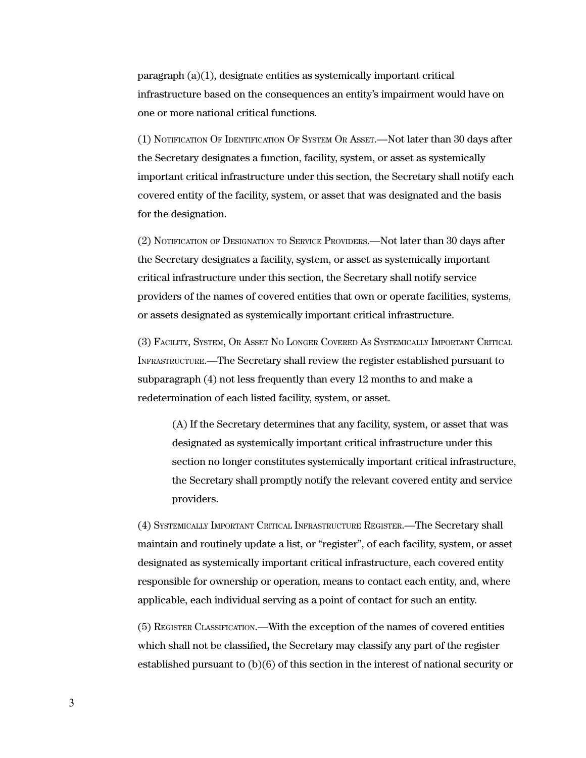$\frac{p}{q}$  paragraph  $\frac{a}{1}$ , designate entities as systemically important critical infrastructure based on the consequences an entity's impairment would have on one or more national critical functions.

(1) NOTIFICATION OF IDENTIFICATION OF SYSTEM OR ASSET.—Not later than 30 days after the Secretary designates a function, facility, system, or asset as systemically important critical infrastructure under this section, the Secretary shall notify each covered entity of the facility, system, or asset that was designated and the basis for the designation.

(2) NOTIFICATION OF DESIGNATION TO SERVICE PROVIDERS.—Not later than 30 days after the Secretary designates a facility, system, or asset as systemically important critical infrastructure under this section, the Secretary shall notify service providers of the names of covered entities that own or operate facilities, systems, or assets designated as systemically important critical infrastructure.

(3) FACILITY, SYSTEM, OR ASSET NO LONGER COVERED AS SYSTEMICALLY IMPORTANT CRITICAL INFRASTRUCTURE.—The Secretary shall review the register established pursuant to subparagraph (4) not less frequently than every 12 months to and make a redetermination of each listed facility, system, or asset.

(A) If the Secretary determines that any facility, system, or asset that was designated as systemically important critical infrastructure under this section no longer constitutes systemically important critical infrastructure, the Secretary shall promptly notify the relevant covered entity and service providers.

(4) SYSTEMICALLY IMPORTANT CRITICAL INFRASTRUCTURE REGISTER.—The Secretary shall maintain and routinely update a list, or "register", of each facility, system, or asset designated as systemically important critical infrastructure, each covered entity responsible for ownership or operation, means to contact each entity, and, where applicable, each individual serving as a point of contact for such an entity.

(5) REGISTER CLASSIFICATION.—With the exception of the names of covered entities which shall not be classified, the Secretary may classify any part of the register established pursuant to (b)(6) of this section in the interest of national security or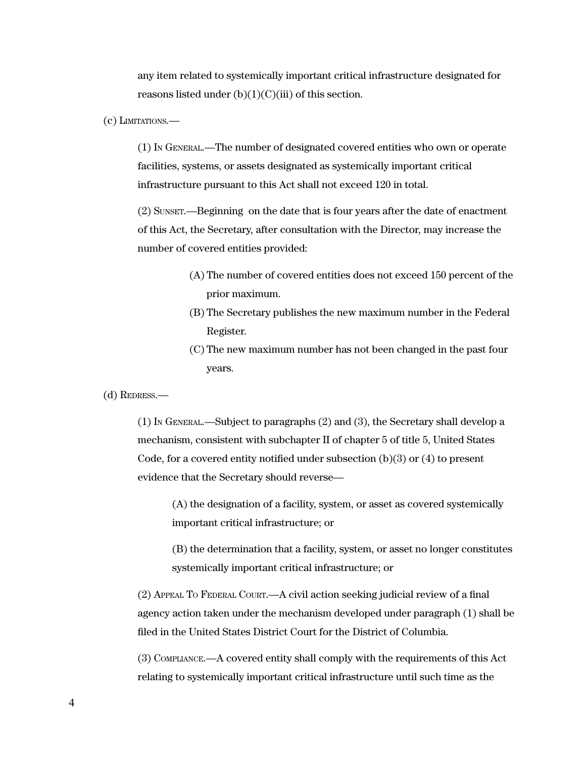any item related to systemically important critical infrastructure designated for reasons listed under  $(b)(1)(C)(iii)$  of this section.

(c) LIMITATIONS.—

(1) IN GENERAL.—The number of designated covered entities who own or operate facilities, systems, or assets designated as systemically important critical infrastructure pursuant to this Act shall not exceed 120 in total.

(2) SUNSET.—Beginning on the date that is four years after the date of enactment of this Act, the Secretary, after consultation with the Director, may increase the number of covered entities provided:

- (A) The number of covered entities does not exceed 150 percent of the prior maximum.
- (B) The Secretary publishes the new maximum number in the Federal Register.
- (C) The new maximum number has not been changed in the past four years.

(d) REDRESS.—

(1) IN GENERAL.—Subject to paragraphs (2) and (3), the Secretary shall develop a mechanism, consistent with subchapter II of chapter 5 of title 5, United States Code, for a covered entity notified under subsection  $(b)(3)$  or  $(4)$  to present evidence that the Secretary should reverse—

(A) the designation of a facility, system, or asset as covered systemically important critical infrastructure; or

(B) the determination that a facility, system, or asset no longer constitutes systemically important critical infrastructure; or

(2) APPEAL T<sup>O</sup> FEDERAL COURT.—A civil action seeking judicial review of a final agency action taken under the mechanism developed under paragraph (1) shall be filed in the United States District Court for the District of Columbia.

(3) COMPLIANCE.—A covered entity shall comply with the requirements of this Act relating to systemically important critical infrastructure until such time as the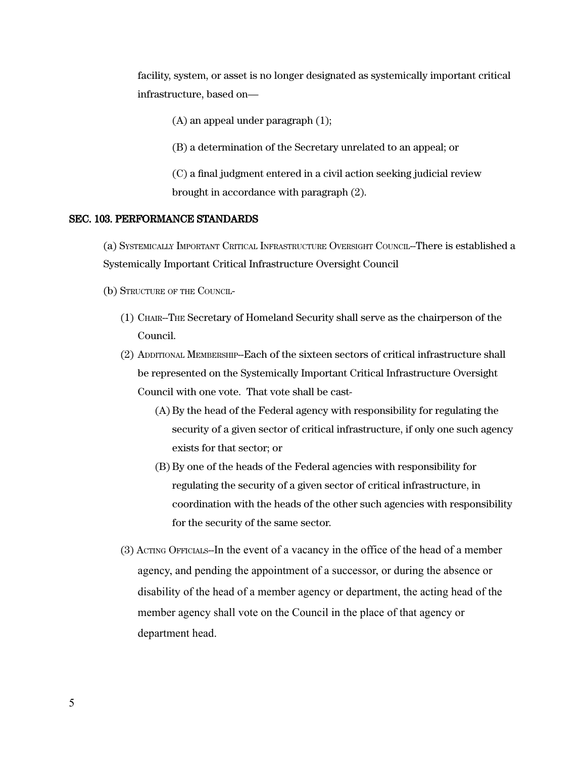facility, system, or asset is no longer designated as systemically important critical infrastructure, based on—

(A) an appeal under paragraph (1);

(B) a determination of the Secretary unrelated to an appeal; or

(C) a final judgment entered in a civil action seeking judicial review brought in accordance with paragraph (2).

#### SEC. 103. PERFORMANCE STANDARDS

(a) SYSTEMICALLY IMPORTANT CRITICAL INFRASTRUCTURE OVERSIGHT COUNCIL--There is established a Systemically Important Critical Infrastructure Oversight Council

(b) STRUCTURE OF THE COUNCIL-

- (1) CHAIR--THE Secretary of Homeland Security shall serve as the chairperson of the Council.
- (2) ADDITIONAL MEMBERSHIP--Each of the sixteen sectors of critical infrastructure shall be represented on the Systemically Important Critical Infrastructure Oversight Council with one vote. That vote shall be cast-
	- (A) By the head of the Federal agency with responsibility for regulating the security of a given sector of critical infrastructure, if only one such agency exists for that sector; or
	- (B) By one of the heads of the Federal agencies with responsibility for regulating the security of a given sector of critical infrastructure, in coordination with the heads of the other such agencies with responsibility for the security of the same sector.
- (3) ACTING OFFICIALS--In the event of a vacancy in the office of the head of a member agency, and pending the appointment of a successor, or during the absence or disability of the head of a member agency or department, the acting head of the member agency shall vote on the Council in the place of that agency or department head.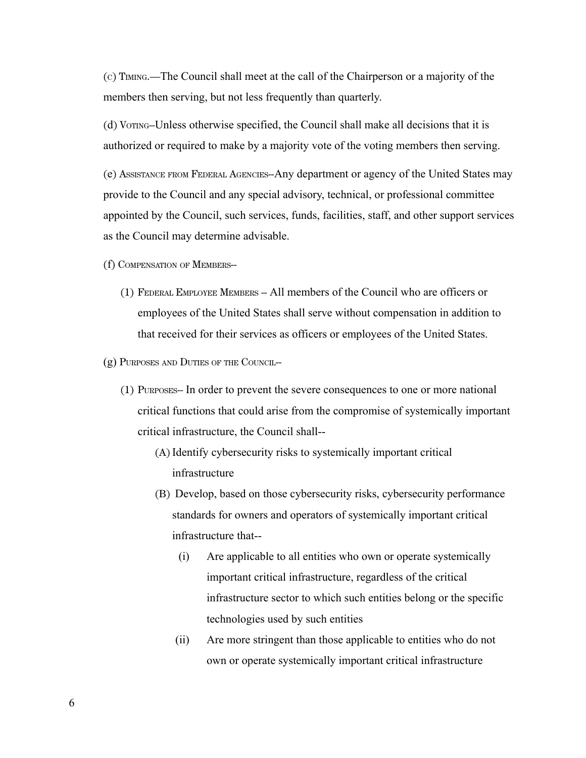(C) TIMING.—The Council shall meet at the call of the Chairperson or a majority of the members then serving, but not less frequently than quarterly.

(d) VOTING--Unless otherwise specified, the Council shall make all decisions that it is authorized or required to make by a majority vote of the voting members then serving.

(e) ASSISTANCE FROM FEDERAL AGENCIES--Any department or agency of the United States may provide to the Council and any special advisory, technical, or professional committee appointed by the Council, such services, funds, facilities, staff, and other support services as the Council may determine advisable.

- (f) COMPENSATION OF MEMBERS--
	- (1) FEDERAL EMPLOYEE MEMBERS -- All members of the Council who are officers or employees of the United States shall serve without compensation in addition to that received for their services as officers or employees of the United States.
- (g) PURPOSES AND DUTIES OF THE COUNCIL--
	- (1) PURPOSES-- In order to prevent the severe consequences to one or more national critical functions that could arise from the compromise of systemically important critical infrastructure, the Council shall--
		- (A)Identify cybersecurity risks to systemically important critical infrastructure
		- (B) Develop, based on those cybersecurity risks, cybersecurity performance standards for owners and operators of systemically important critical infrastructure that--
			- (i) Are applicable to all entities who own or operate systemically important critical infrastructure, regardless of the critical infrastructure sector to which such entities belong or the specific technologies used by such entities
			- (ii) Are more stringent than those applicable to entities who do not own or operate systemically important critical infrastructure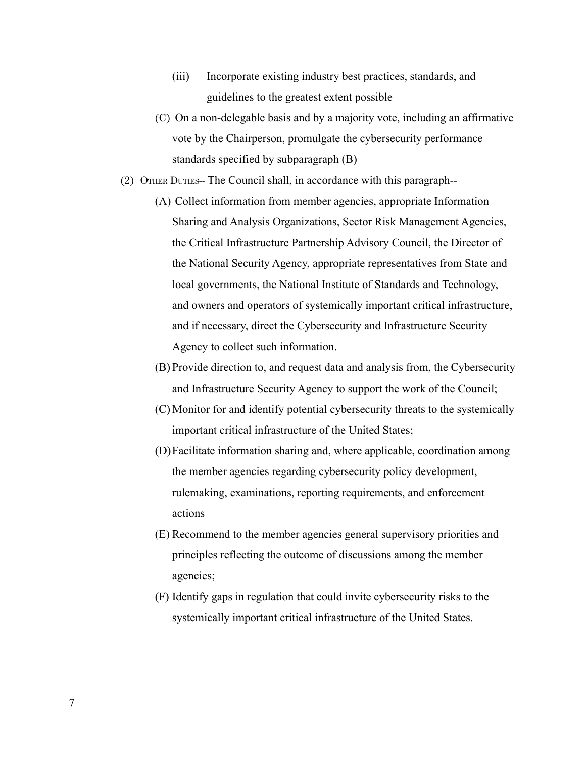- (iii) Incorporate existing industry best practices, standards, and guidelines to the greatest extent possible
- (C) On a non-delegable basis and by a majority vote, including an affirmative vote by the Chairperson, promulgate the cybersecurity performance standards specified by subparagraph (B)
- (2) OTHER DUTIES-- The Council shall, in accordance with this paragraph--
	- (A) Collect information from member agencies, appropriate Information Sharing and Analysis Organizations, Sector Risk Management Agencies, the Critical Infrastructure Partnership Advisory Council, the Director of the National Security Agency, appropriate representatives from State and local governments, the National Institute of Standards and Technology, and owners and operators of systemically important critical infrastructure, and if necessary, direct the Cybersecurity and Infrastructure Security Agency to collect such information.
	- (B) Provide direction to, and request data and analysis from, the Cybersecurity and Infrastructure Security Agency to support the work of the Council;
	- (C) Monitor for and identify potential cybersecurity threats to the systemically important critical infrastructure of the United States;
	- (D)Facilitate information sharing and, where applicable, coordination among the member agencies regarding cybersecurity policy development, rulemaking, examinations, reporting requirements, and enforcement actions
	- (E) Recommend to the member agencies general supervisory priorities and principles reflecting the outcome of discussions among the member agencies;
	- (F) Identify gaps in regulation that could invite cybersecurity risks to the systemically important critical infrastructure of the United States.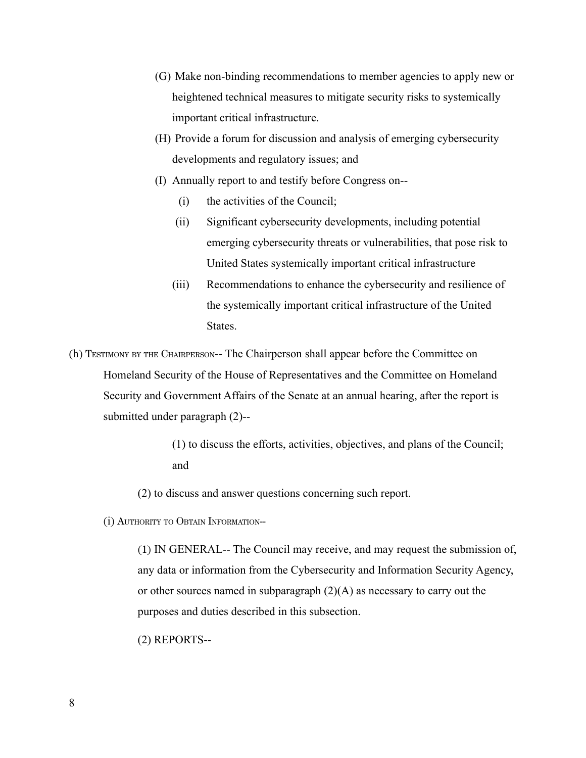- (G) Make non-binding recommendations to member agencies to apply new or heightened technical measures to mitigate security risks to systemically important critical infrastructure.
- (H) Provide a forum for discussion and analysis of emerging cybersecurity developments and regulatory issues; and
- (I) Annually report to and testify before Congress on--
	- (i) the activities of the Council;
	- (ii) Significant cybersecurity developments, including potential emerging cybersecurity threats or vulnerabilities, that pose risk to United States systemically important critical infrastructure
	- (iii) Recommendations to enhance the cybersecurity and resilience of the systemically important critical infrastructure of the United States.
- (h) TESTIMONY BY THE CHAIRPERSON-- The Chairperson shall appear before the Committee on Homeland Security of the House of Representatives and the Committee on Homeland Security and Government Affairs of the Senate at an annual hearing, after the report is submitted under paragraph (2)--

(1) to discuss the efforts, activities, objectives, and plans of the Council; and

(2) to discuss and answer questions concerning such report.

(i) AUTHORITY TO OBTAIN INFORMATION--

(1) IN GENERAL-- The Council may receive, and may request the submission of, any data or information from the Cybersecurity and Information Security Agency, or other sources named in subparagraph (2)(A) as necessary to carry out the purposes and duties described in this subsection.

(2) REPORTS--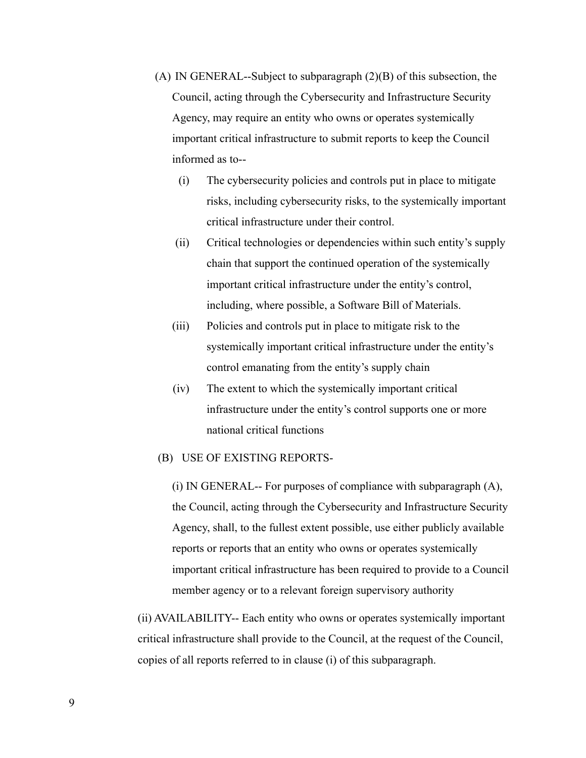- (A) IN GENERAL--Subject to subparagraph (2)(B) of this subsection, the Council, acting through the Cybersecurity and Infrastructure Security Agency, may require an entity who owns or operates systemically important critical infrastructure to submit reports to keep the Council informed as to--
	- (i) The cybersecurity policies and controls put in place to mitigate risks, including cybersecurity risks, to the systemically important critical infrastructure under their control.
	- (ii) Critical technologies or dependencies within such entity's supply chain that support the continued operation of the systemically important critical infrastructure under the entity's control, including, where possible, a Software Bill of Materials.
	- (iii) Policies and controls put in place to mitigate risk to the systemically important critical infrastructure under the entity's control emanating from the entity's supply chain
	- (iv) The extent to which the systemically important critical infrastructure under the entity's control supports one or more national critical functions

## (B) USE OF EXISTING REPORTS-

(i) IN GENERAL-- For purposes of compliance with subparagraph (A), the Council, acting through the Cybersecurity and Infrastructure Security Agency, shall, to the fullest extent possible, use either publicly available reports or reports that an entity who owns or operates systemically important critical infrastructure has been required to provide to a Council member agency or to a relevant foreign supervisory authority

(ii) AVAILABILITY-- Each entity who owns or operates systemically important critical infrastructure shall provide to the Council, at the request of the Council, copies of all reports referred to in clause (i) of this subparagraph.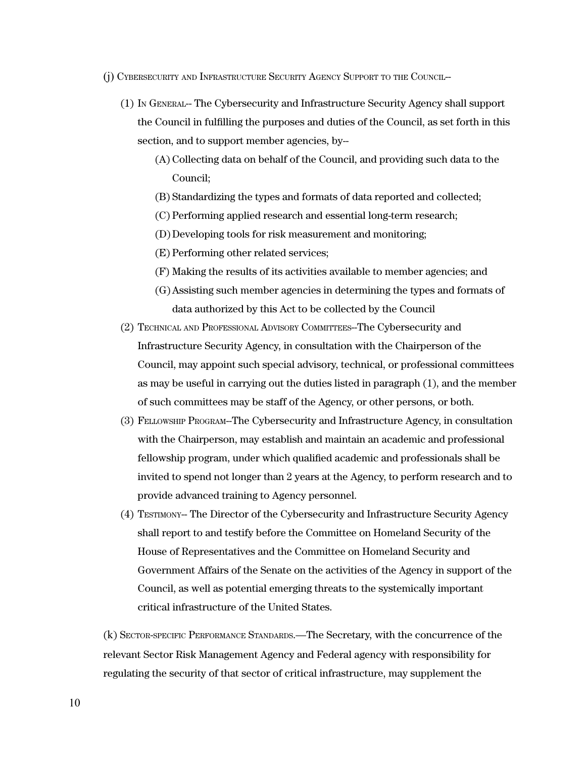- (j) CYBERSECURITY AND INFRASTRUCTURE SECURITY AGENCY SUPPORT TO THE COUNCIL--
	- (1) IN GENERAL-- The Cybersecurity and Infrastructure Security Agency shall support the Council in fulfilling the purposes and duties of the Council, as set forth in this section, and to support member agencies, by--
		- (A) Collecting data on behalf of the Council, and providing such data to the Council;
		- (B) Standardizing the types and formats of data reported and collected;
		- (C) Performing applied research and essential long-term research;
		- (D)Developing tools for risk measurement and monitoring;
		- (E) Performing other related services;
		- (F) Making the results of its activities available to member agencies; and
		- (G)Assisting such member agencies in determining the types and formats of data authorized by this Act to be collected by the Council
	- (2) TECHNICAL AND PROFESSIONAL ADVISORY COMMITTEES--The Cybersecurity and Infrastructure Security Agency, in consultation with the Chairperson of the Council, may appoint such special advisory, technical, or professional committees as may be useful in carrying out the duties listed in paragraph (1), and the member of such committees may be staff of the Agency, or other persons, or both.
	- (3) FELLOWSHIP PROGRAM--The Cybersecurity and Infrastructure Agency, in consultation with the Chairperson, may establish and maintain an academic and professional fellowship program, under which qualified academic and professionals shall be invited to spend not longer than 2 years at the Agency, to perform research and to provide advanced training to Agency personnel.
	- (4) TESTIMONY-- The Director of the Cybersecurity and Infrastructure Security Agency shall report to and testify before the Committee on Homeland Security of the House of Representatives and the Committee on Homeland Security and Government Affairs of the Senate on the activities of the Agency in support of the Council, as well as potential emerging threats to the systemically important critical infrastructure of the United States.

(k) SECTOR-SPECIFIC PERFORMANCE STANDARDS.—The Secretary, with the concurrence of the relevant Sector Risk Management Agency and Federal agency with responsibility for regulating the security of that sector of critical infrastructure, may supplement the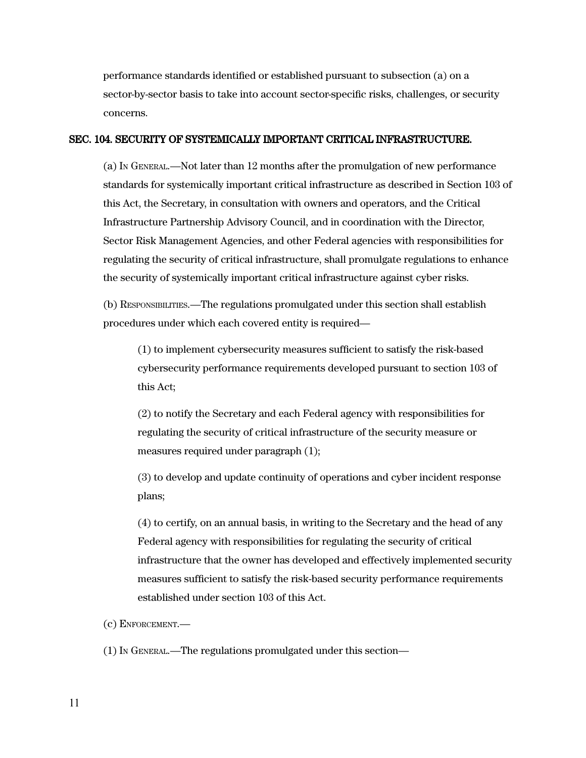performance standards identified or established pursuant to subsection (a) on a sector-by-sector basis to take into account sector-specific risks, challenges, or security concerns.

#### SEC. 104. SECURITY OF SYSTEMICALLY IMPORTANT CRITICAL INFRASTRUCTURE.

(a) IN GENERAL.—Not later than 12 months after the promulgation of new performance standards for systemically important critical infrastructure as described in Section 103 of this Act, the Secretary, in consultation with owners and operators, and the Critical Infrastructure Partnership Advisory Council, and in coordination with the Director, Sector Risk Management Agencies, and other Federal agencies with responsibilities for regulating the security of critical infrastructure, shall promulgate regulations to enhance the security of systemically important critical infrastructure against cyber risks.

(b) RESPONSIBILITIES.—The regulations promulgated under this section shall establish procedures under which each covered entity is required—

(1) to implement cybersecurity measures sufficient to satisfy the risk-based cybersecurity performance requirements developed pursuant to section 103 of this Act;

(2) to notify the Secretary and each Federal agency with responsibilities for regulating the security of critical infrastructure of the security measure or measures required under paragraph (1);

(3) to develop and update continuity of operations and cyber incident response plans;

(4) to certify, on an annual basis, in writing to the Secretary and the head of any Federal agency with responsibilities for regulating the security of critical infrastructure that the owner has developed and effectively implemented security measures sufficient to satisfy the risk-based security performance requirements established under section 103 of this Act.

(c) ENFORCEMENT.—

(1) I<sup>N</sup> GENERAL.—The regulations promulgated under this section—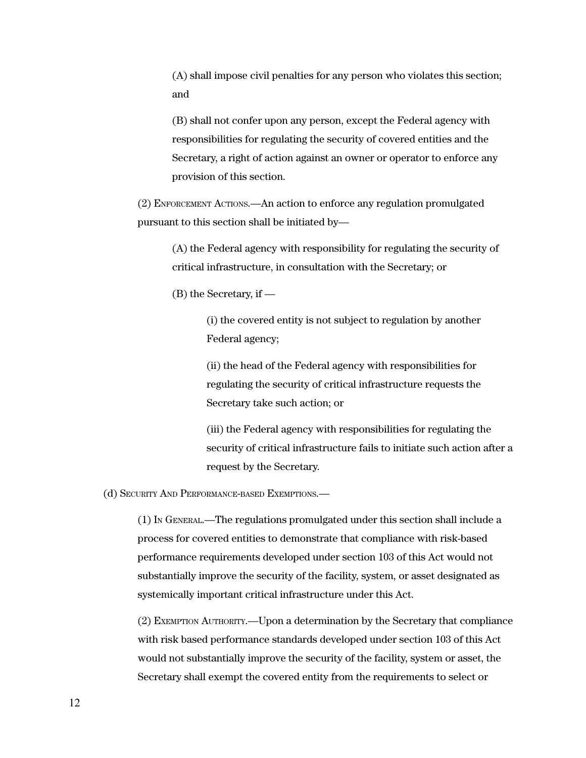(A) shall impose civil penalties for any person who violates this section; and

(B) shall not confer upon any person, except the Federal agency with responsibilities for regulating the security of covered entities and the Secretary, a right of action against an owner or operator to enforce any provision of this section.

(2) ENFORCEMENT ACTIONS.—An action to enforce any regulation promulgated pursuant to this section shall be initiated by—

(A) the Federal agency with responsibility for regulating the security of critical infrastructure, in consultation with the Secretary; or

(B) the Secretary, if —

(i) the covered entity is not subject to regulation by another Federal agency;

(ii) the head of the Federal agency with responsibilities for regulating the security of critical infrastructure requests the Secretary take such action; or

(iii) the Federal agency with responsibilities for regulating the security of critical infrastructure fails to initiate such action after a request by the Secretary.

(d) SECURITY AND PERFORMANCE-BASED EXEMPTIONS.—

(1) I<sup>N</sup> GENERAL.—The regulations promulgated under this section shall include a process for covered entities to demonstrate that compliance with risk-based performance requirements developed under section 103 of this Act would not substantially improve the security of the facility, system, or asset designated as systemically important critical infrastructure under this Act.

(2) EXEMPTION AUTHORITY.—Upon a determination by the Secretary that compliance with risk based performance standards developed under section 103 of this Act would not substantially improve the security of the facility, system or asset, the Secretary shall exempt the covered entity from the requirements to select or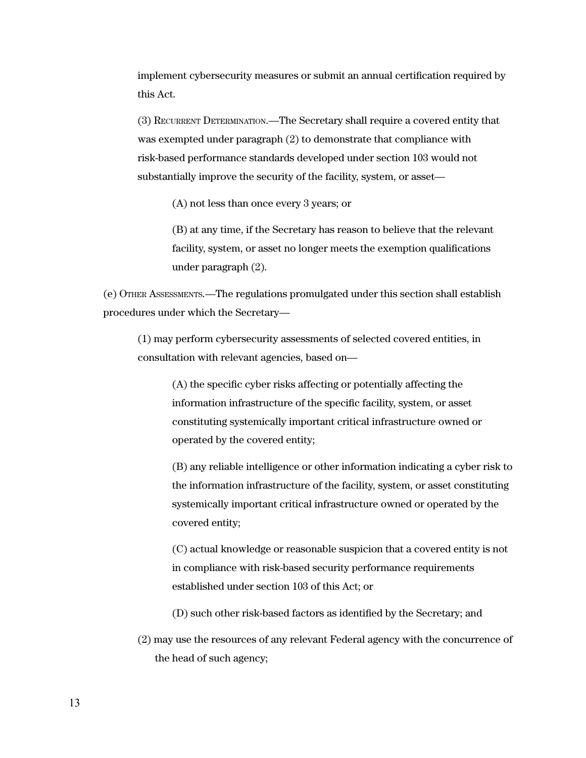implement cybersecurity measures or submit an annual certification required by this Act.

(3) RECURRENT DETERMINATION.—The Secretary shall require a covered entity that was exempted under paragraph (2) to demonstrate that compliance with risk-based performance standards developed under section 103 would not substantially improve the security of the facility, system, or asset—

(A) not less than once every 3 years; or

(B) at any time, if the Secretary has reason to believe that the relevant facility, system, or asset no longer meets the exemption qualifications under paragraph (2).

(e) OTHER ASSESSMENTS.—The regulations promulgated under this section shall establish procedures under which the Secretary—

(1) may perform cybersecurity assessments of selected covered entities, in consultation with relevant agencies, based on—

(A) the specific cyber risks affecting or potentially affecting the information infrastructure of the specific facility, system, or asset constituting systemically important critical infrastructure owned or operated by the covered entity;

(B) any reliable intelligence or other information indicating a cyber risk to the information infrastructure of the facility, system, or asset constituting systemically important critical infrastructure owned or operated by the covered entity;

(C) actual knowledge or reasonable suspicion that a covered entity is not in compliance with risk-based security performance requirements established under section 103 of this Act; or

(D) such other risk-based factors as identified by the Secretary; and

(2) may use the resources of any relevant Federal agency with the concurrence of the head of such agency;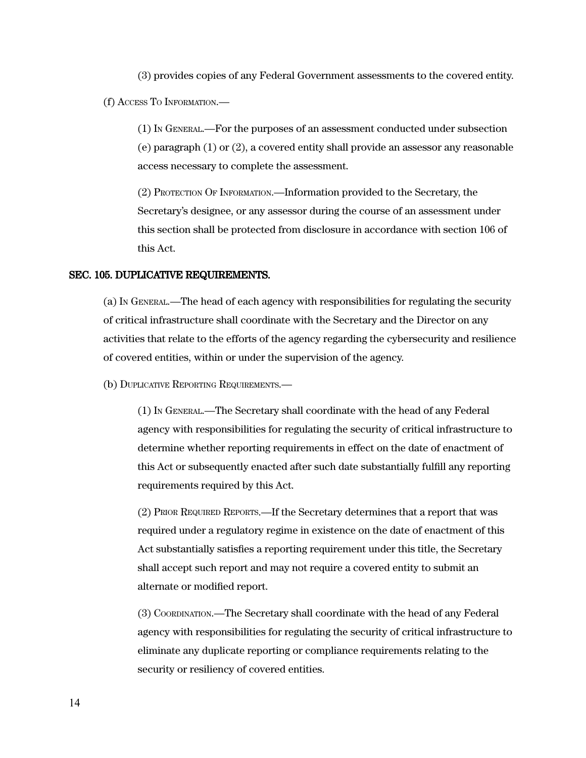(3) provides copies of any Federal Government assessments to the covered entity.

(f) ACCESS TO INFORMATION.—

(1) IN GENERAL.—For the purposes of an assessment conducted under subsection (e) paragraph (1) or (2), a covered entity shall provide an assessor any reasonable access necessary to complete the assessment.

(2) PROTECTION OF INFORMATION.—Information provided to the Secretary, the Secretary's designee, or any assessor during the course of an assessment under this section shall be protected from disclosure in accordance with section 106 of this Act.

#### SEC. 105. DUPLICATIVE REQUIREMENTS.

(a) IN GENERAL.—The head of each agency with responsibilities for regulating the security of critical infrastructure shall coordinate with the Secretary and the Director on any activities that relate to the efforts of the agency regarding the cybersecurity and resilience of covered entities, within or under the supervision of the agency.

(b) DUPLICATIVE REPORTING REQUIREMENTS.—

(1) IN GENERAL.—The Secretary shall coordinate with the head of any Federal agency with responsibilities for regulating the security of critical infrastructure to determine whether reporting requirements in effect on the date of enactment of this Act or subsequently enacted after such date substantially fulfill any reporting requirements required by this Act.

(2) PRIOR REQUIRED REPORTS.—If the Secretary determines that a report that was required under a regulatory regime in existence on the date of enactment of this Act substantially satisfies a reporting requirement under this title, the Secretary shall accept such report and may not require a covered entity to submit an alternate or modified report.

(3) COORDINATION.—The Secretary shall coordinate with the head of any Federal agency with responsibilities for regulating the security of critical infrastructure to eliminate any duplicate reporting or compliance requirements relating to the security or resiliency of covered entities.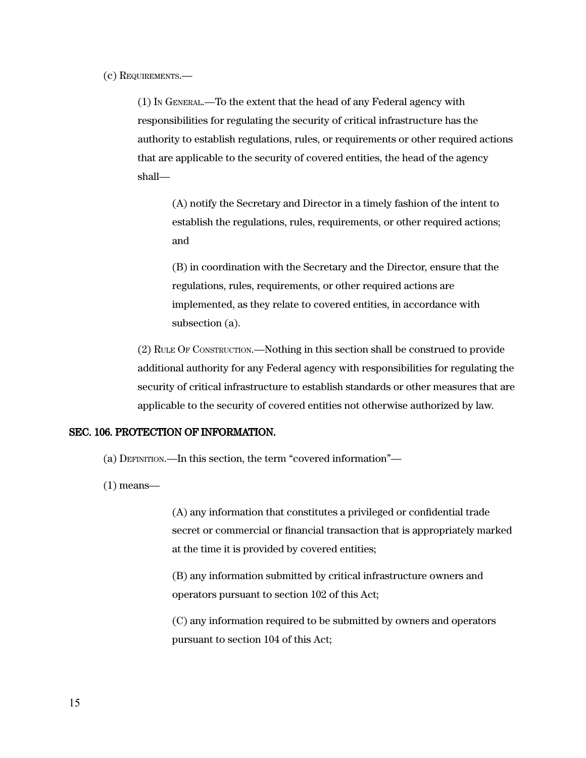(c) REQUIREMENTS.—

(1) IN GENERAL.—To the extent that the head of any Federal agency with responsibilities for regulating the security of critical infrastructure has the authority to establish regulations, rules, or requirements or other required actions that are applicable to the security of covered entities, the head of the agency shall—

(A) notify the Secretary and Director in a timely fashion of the intent to establish the regulations, rules, requirements, or other required actions; and

(B) in coordination with the Secretary and the Director, ensure that the regulations, rules, requirements, or other required actions are implemented, as they relate to covered entities, in accordance with subsection (a).

(2) RULE OF CONSTRUCTION.—Nothing in this section shall be construed to provide additional authority for any Federal agency with responsibilities for regulating the security of critical infrastructure to establish standards or other measures that are applicable to the security of covered entities not otherwise authorized by law.

## SEC. 106. PROTECTION OF INFORMATION.

(a) DEFINITION.—In this section, the term "covered information"—

(1) means—

(A) any information that constitutes a privileged or confidential trade secret or commercial or financial transaction that is appropriately marked at the time it is provided by covered entities;

(B) any information submitted by critical infrastructure owners and operators pursuant to section 102 of this Act;

(C) any information required to be submitted by owners and operators pursuant to section 104 of this Act;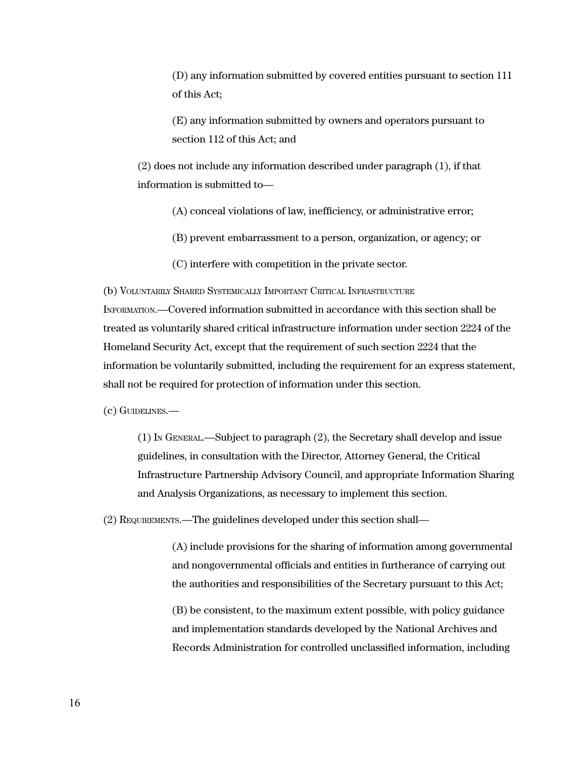(D) any information submitted by covered entities pursuant to section 111 of this Act;

(E) any information submitted by owners and operators pursuant to section 112 of this Act; and

(2) does not include any information described under paragraph (1), if that information is submitted to—

- (A) conceal violations of law, inefficiency, or administrative error;
- (B) prevent embarrassment to a person, organization, or agency; or
- (C) interfere with competition in the private sector.

(b) VOLUNTARILY SHARED SYSTEMICALLY IMPORTANT CRITICAL INFRASTRUCTURE

INFORMATION.—Covered information submitted in accordance with this section shall be treated as voluntarily shared critical infrastructure information under section 2224 of the Homeland Security Act, except that the requirement of such section 2224 that the information be voluntarily submitted, including the requirement for an express statement, shall not be required for protection of information under this section.

(c) GUIDELINES.—

(1) IN GENERAL.—Subject to paragraph (2), the Secretary shall develop and issue guidelines, in consultation with the Director, Attorney General, the Critical Infrastructure Partnership Advisory Council, and appropriate Information Sharing and Analysis Organizations, as necessary to implement this section.

(2) REQUIREMENTS.—The guidelines developed under this section shall—

(A) include provisions for the sharing of information among governmental and nongovernmental officials and entities in furtherance of carrying out the authorities and responsibilities of the Secretary pursuant to this Act;

(B) be consistent, to the maximum extent possible, with policy guidance and implementation standards developed by the National Archives and Records Administration for controlled unclassified information, including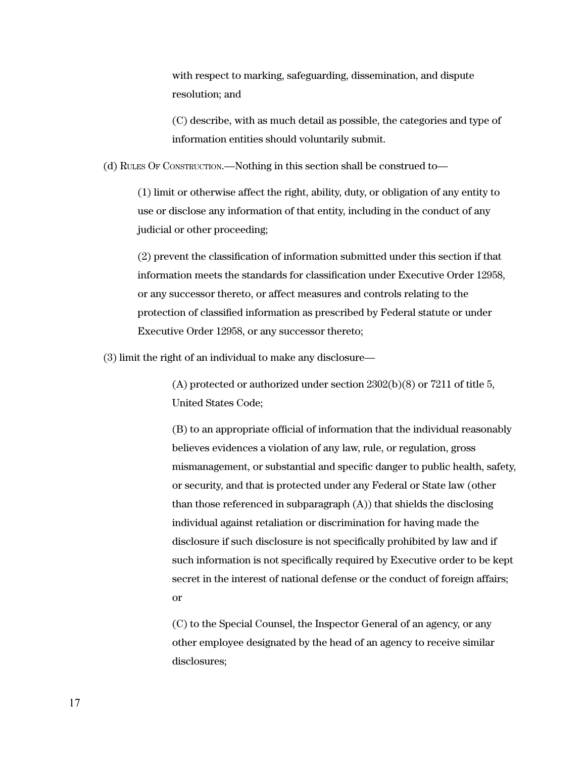with respect to marking, safeguarding, dissemination, and dispute resolution; and

(C) describe, with as much detail as possible, the categories and type of information entities should voluntarily submit.

(d) RULES OF CONSTRUCTION.—Nothing in this section shall be construed to—

(1) limit or otherwise affect the right, ability, duty, or obligation of any entity to use or disclose any information of that entity, including in the conduct of any judicial or other proceeding;

(2) prevent the classification of information submitted under this section if that information meets the standards for classification under Executive Order 12958, or any successor thereto, or affect measures and controls relating to the protection of classified information as prescribed by Federal statute or under Executive Order 12958, or any successor thereto;

(3) limit the right of an individual to make any disclosure—

(A) protected or authorized under section 2302(b)(8) or 7211 of title 5, United States Code;

(B) to an appropriate official of information that the individual reasonably believes evidences a violation of any law, rule, or regulation, gross mismanagement, or substantial and specific danger to public health, safety, or security, and that is protected under any Federal or State law (other than those referenced in subparagraph (A)) that shields the disclosing individual against retaliation or discrimination for having made the disclosure if such disclosure is not specifically prohibited by law and if such information is not specifically required by Executive order to be kept secret in the interest of national defense or the conduct of foreign affairs; or

(C) to the Special Counsel, the Inspector General of an agency, or any other employee designated by the head of an agency to receive similar disclosures;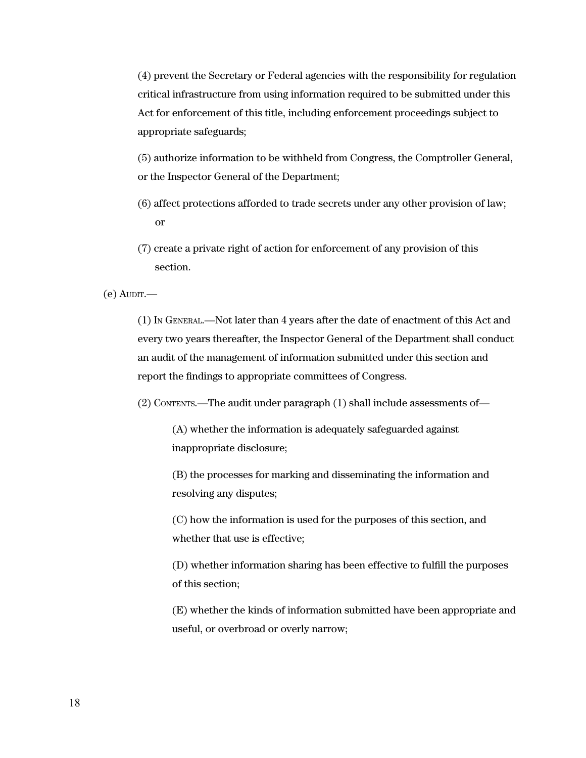(4) prevent the Secretary or Federal agencies with the responsibility for regulation critical infrastructure from using information required to be submitted under this Act for enforcement of this title, including enforcement proceedings subject to appropriate safeguards;

(5) authorize information to be withheld from Congress, the Comptroller General, or the Inspector General of the Department;

- (6) affect protections afforded to trade secrets under any other provision of law; or
- (7) create a private right of action for enforcement of any provision of this section.

 $(e)$  AUDIT.

(1) IN GENERAL.—Not later than 4 years after the date of enactment of this Act and every two years thereafter, the Inspector General of the Department shall conduct an audit of the management of information submitted under this section and report the findings to appropriate committees of Congress.

(2) CONTENTS.—The audit under paragraph (1) shall include assessments of—

(A) whether the information is adequately safeguarded against inappropriate disclosure;

(B) the processes for marking and disseminating the information and resolving any disputes;

(C) how the information is used for the purposes of this section, and whether that use is effective;

(D) whether information sharing has been effective to fulfill the purposes of this section;

(E) whether the kinds of information submitted have been appropriate and useful, or overbroad or overly narrow;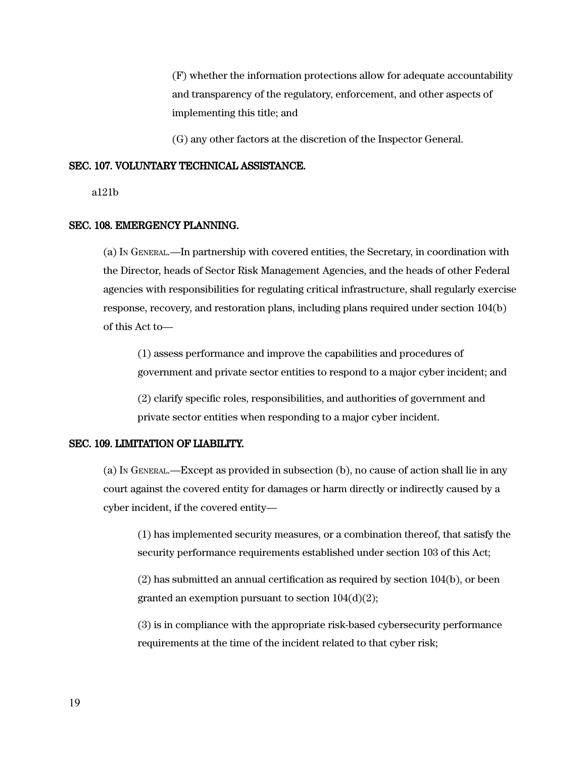(F) whether the information protections allow for adequate accountability and transparency of the regulatory, enforcement, and other aspects of implementing this title; and

(G) any other factors at the discretion of the Inspector General.

#### SEC. 107. VOLUNTARY TECHNICAL ASSISTANCE.

a121b

#### SEC. 108. EMERGENCY PLANNING.

(a) IN GENERAL.—In partnership with covered entities, the Secretary, in coordination with the Director, heads of Sector Risk Management Agencies, and the heads of other Federal agencies with responsibilities for regulating critical infrastructure, shall regularly exercise response, recovery, and restoration plans, including plans required under section 104(b) of this Act to—

(1) assess performance and improve the capabilities and procedures of government and private sector entities to respond to a major cyber incident; and

(2) clarify specific roles, responsibilities, and authorities of government and private sector entities when responding to a major cyber incident.

#### SEC. 109. LIMITATION OF LIABILITY.

(a) IN GENERAL.—Except as provided in subsection (b), no cause of action shall lie in any court against the covered entity for damages or harm directly or indirectly caused by a cyber incident, if the covered entity—

(1) has implemented security measures, or a combination thereof, that satisfy the security performance requirements established under section 103 of this Act;

(2) has submitted an annual certification as required by section 104(b), or been granted an exemption pursuant to section 104(d)(2);

(3) is in compliance with the appropriate risk-based cybersecurity performance requirements at the time of the incident related to that cyber risk;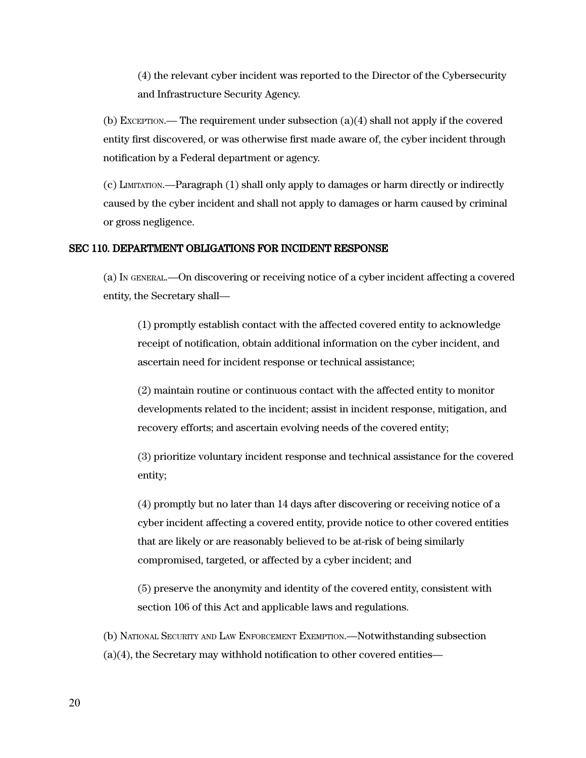(4) the relevant cyber incident was reported to the Director of the Cybersecurity and Infrastructure Security Agency.

 $(b)$  Exception.— The requirement under subsection  $(a)(4)$  shall not apply if the covered entity first discovered, or was otherwise first made aware of, the cyber incident through notification by a Federal department or agency.

(c) LIMITATION.—Paragraph (1) shall only apply to damages or harm directly or indirectly caused by the cyber incident and shall not apply to damages or harm caused by criminal or gross negligence.

## SEC 110. DEPARTMENT OBLIGATIONS FOR INCIDENT RESPONSE

(a) IN GENERAL.—On discovering or receiving notice of a cyber incident affecting a covered entity, the Secretary shall—

(1) promptly establish contact with the affected covered entity to acknowledge receipt of notification, obtain additional information on the cyber incident, and ascertain need for incident response or technical assistance;

(2) maintain routine or continuous contact with the affected entity to monitor developments related to the incident; assist in incident response, mitigation, and recovery efforts; and ascertain evolving needs of the covered entity;

(3) prioritize voluntary incident response and technical assistance for the covered entity;

(4) promptly but no later than 14 days after discovering or receiving notice of a cyber incident affecting a covered entity, provide notice to other covered entities that are likely or are reasonably believed to be at-risk of being similarly compromised, targeted, or affected by a cyber incident; and

(5) preserve the anonymity and identity of the covered entity, consistent with section 106 of this Act and applicable laws and regulations.

(b) NATIONAL SECURITY AND LAW ENFORCEMENT EXEMPTION.—Notwithstanding subsection (a)(4), the Secretary may withhold notification to other covered entities—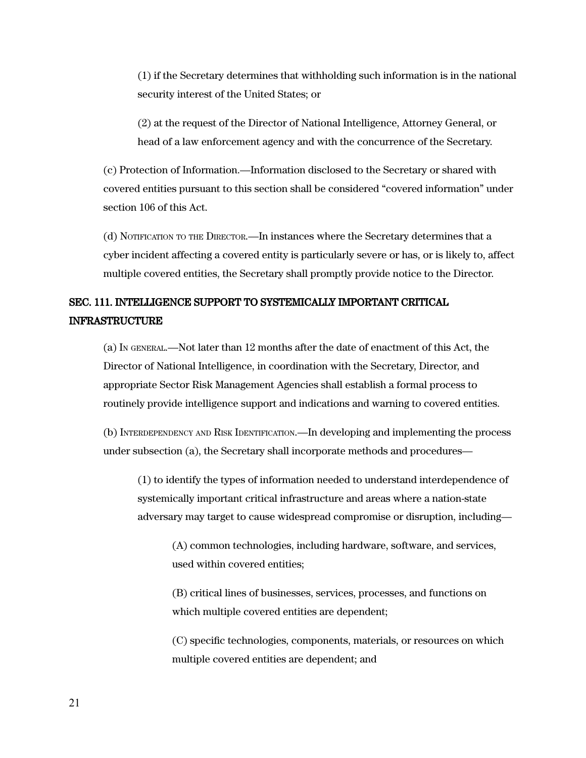(1) if the Secretary determines that withholding such information is in the national security interest of the United States; or

(2) at the request of the Director of National Intelligence, Attorney General, or head of a law enforcement agency and with the concurrence of the Secretary.

(c) Protection of Information.—Information disclosed to the Secretary or shared with covered entities pursuant to this section shall be considered "covered information" under section 106 of this Act.

(d) NOTIFICATION TO THE DIRECTOR.—In instances where the Secretary determines that a cyber incident affecting a covered entity is particularly severe or has, or is likely to, affect multiple covered entities, the Secretary shall promptly provide notice to the Director.

# SEC. 111. INTELLIGENCE SUPPORT TO SYSTEMICALLY IMPORTANT CRITICAL INFRASTRUCTURE

(a) IN GENERAL.—Not later than 12 months after the date of enactment of this Act, the Director of National Intelligence, in coordination with the Secretary, Director, and appropriate Sector Risk Management Agencies shall establish a formal process to routinely provide intelligence support and indications and warning to covered entities.

(b) INTERDEPENDENCY AND RISK IDENTIFICATION.—In developing and implementing the process under subsection (a), the Secretary shall incorporate methods and procedures—

(1) to identify the types of information needed to understand interdependence of systemically important critical infrastructure and areas where a nation-state adversary may target to cause widespread compromise or disruption, including—

(A) common technologies, including hardware, software, and services, used within covered entities;

(B) critical lines of businesses, services, processes, and functions on which multiple covered entities are dependent;

(C) specific technologies, components, materials, or resources on which multiple covered entities are dependent; and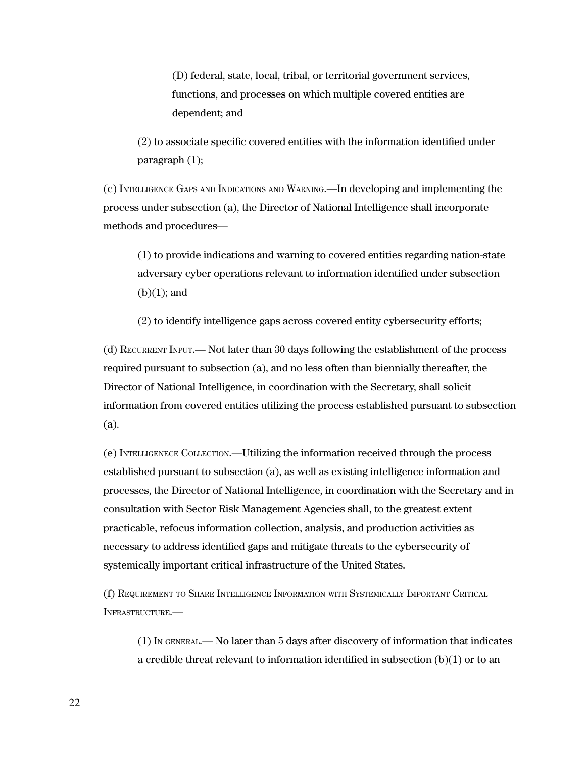(D) federal, state, local, tribal, or territorial government services, functions, and processes on which multiple covered entities are dependent; and

(2) to associate specific covered entities with the information identified under paragraph (1);

(c) INTELLIGENCE GAPS AND INDICATIONS AND WARNING.—In developing and implementing the process under subsection (a), the Director of National Intelligence shall incorporate methods and procedures—

(1) to provide indications and warning to covered entities regarding nation-state adversary cyber operations relevant to information identified under subsection (b)(1); and

(2) to identify intelligence gaps across covered entity cybersecurity efforts;

(d) RECURRENT INPUT.— Not later than 30 days following the establishment of the process required pursuant to subsection (a), and no less often than biennially thereafter, the Director of National Intelligence, in coordination with the Secretary, shall solicit information from covered entities utilizing the process established pursuant to subsection (a).

(e) INTELLIGENECE COLLECTION.—Utilizing the information received through the process established pursuant to subsection (a), as well as existing intelligence information and processes, the Director of National Intelligence, in coordination with the Secretary and in consultation with Sector Risk Management Agencies shall, to the greatest extent practicable, refocus information collection, analysis, and production activities as necessary to address identified gaps and mitigate threats to the cybersecurity of systemically important critical infrastructure of the United States.

(f) REQUIREMENT TO SHARE INTELLIGENCE INFORMATION WITH SYSTEMICALLY IMPORTANT CRITICAL INFRASTRUCTURE.—

(1) I<sup>N</sup> GENERAL.— No later than 5 days after discovery of information that indicates a credible threat relevant to information identified in subsection (b)(1) or to an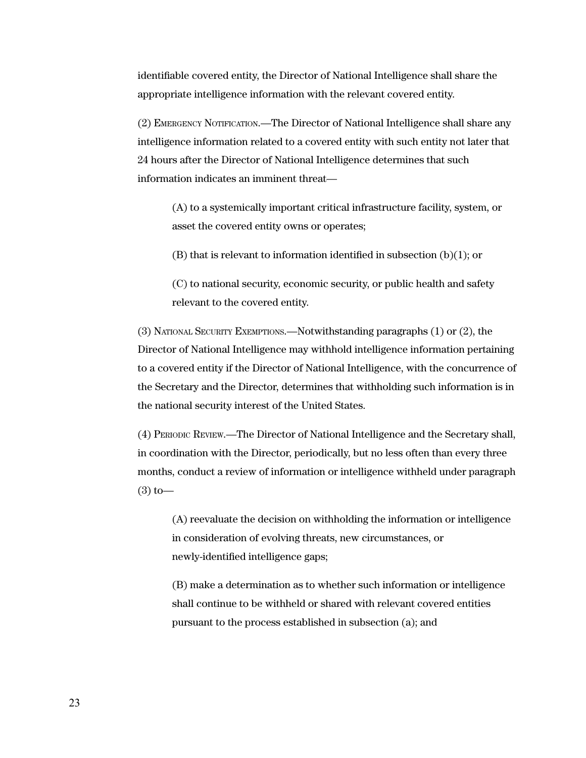identifiable covered entity, the Director of National Intelligence shall share the appropriate intelligence information with the relevant covered entity.

(2) EMERGENCY NOTIFICATION.—The Director of National Intelligence shall share any intelligence information related to a covered entity with such entity not later that 24 hours after the Director of National Intelligence determines that such information indicates an imminent threat—

(A) to a systemically important critical infrastructure facility, system, or asset the covered entity owns or operates;

(B) that is relevant to information identified in subsection (b)(1); or

(C) to national security, economic security, or public health and safety relevant to the covered entity.

(3) NATIONAL SECURITY EXEMPTIONS.—Notwithstanding paragraphs (1) or (2), the Director of National Intelligence may withhold intelligence information pertaining to a covered entity if the Director of National Intelligence, with the concurrence of the Secretary and the Director, determines that withholding such information is in the national security interest of the United States.

(4) PERIODIC REVIEW.—The Director of National Intelligence and the Secretary shall, in coordination with the Director, periodically, but no less often than every three months, conduct a review of information or intelligence withheld under paragraph  $(3)$  to —

(A) reevaluate the decision on withholding the information or intelligence in consideration of evolving threats, new circumstances, or newly-identified intelligence gaps;

(B) make a determination as to whether such information or intelligence shall continue to be withheld or shared with relevant covered entities pursuant to the process established in subsection (a); and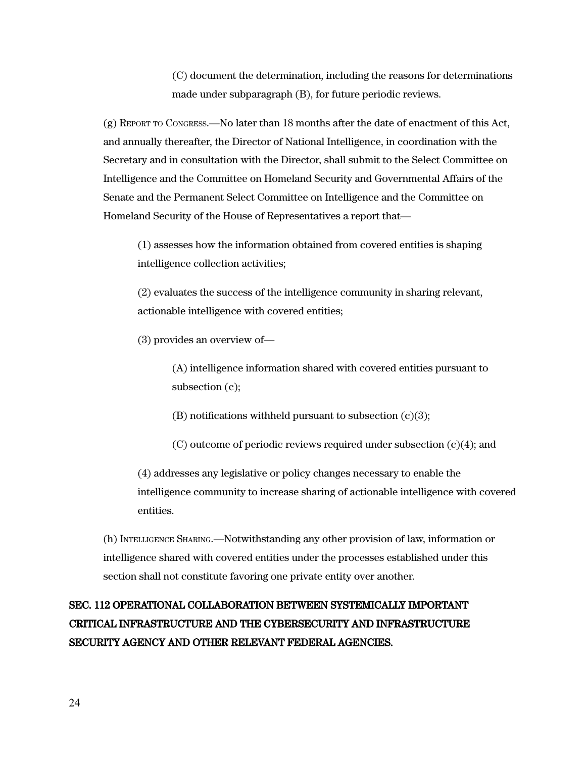(C) document the determination, including the reasons for determinations made under subparagraph (B), for future periodic reviews.

(g) REPORT TO CONGRESS.—No later than 18 months after the date of enactment of this Act, and annually thereafter, the Director of National Intelligence, in coordination with the Secretary and in consultation with the Director, shall submit to the Select Committee on Intelligence and the Committee on Homeland Security and Governmental Affairs of the Senate and the Permanent Select Committee on Intelligence and the Committee on Homeland Security of the House of Representatives a report that—

(1) assesses how the information obtained from covered entities is shaping intelligence collection activities;

(2) evaluates the success of the intelligence community in sharing relevant, actionable intelligence with covered entities;

(3) provides an overview of—

(A) intelligence information shared with covered entities pursuant to subsection (c);

(B) notifications withheld pursuant to subsection  $(c)(3)$ ;

 $(C)$  outcome of periodic reviews required under subsection  $(c)(4)$ ; and

(4) addresses any legislative or policy changes necessary to enable the intelligence community to increase sharing of actionable intelligence with covered entities.

(h) INTELLIGENCE SHARING.—Notwithstanding any other provision of law, information or intelligence shared with covered entities under the processes established under this section shall not constitute favoring one private entity over another.

# SEC. 112 OPERATIONAL COLLABORATION BETWEEN SYSTEMICALLY IMPORTANT CRITICAL INFRASTRUCTURE AND THE CYBERSECURITY AND INFRASTRUCTURE SECURITY AGENCY AND OTHER RELEVANT FEDERAL AGENCIES.